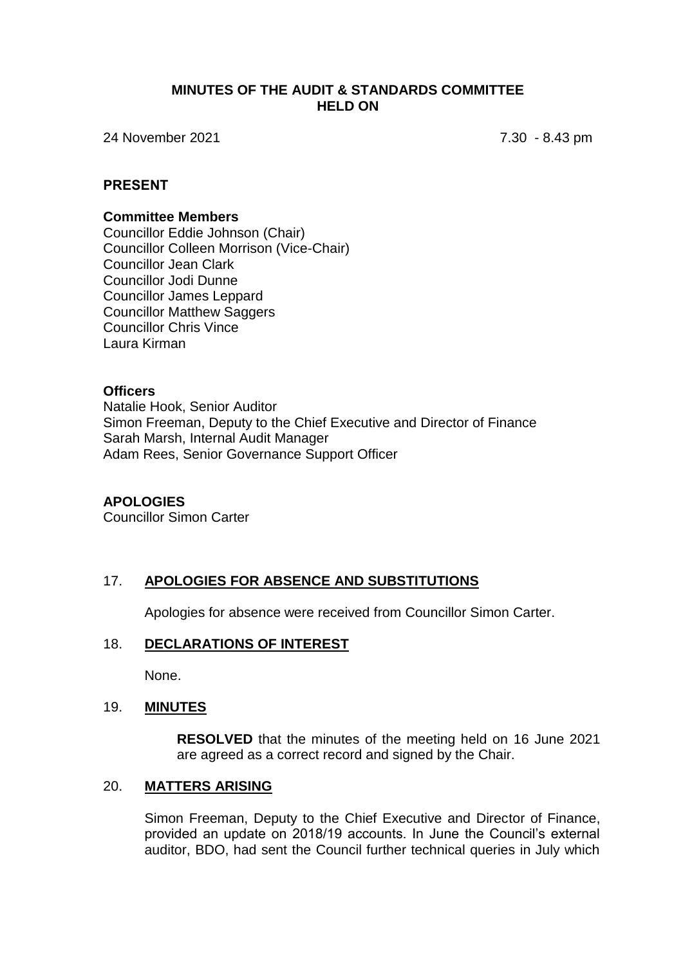#### **MINUTES OF THE AUDIT & STANDARDS COMMITTEE HELD ON**

24 November 2021 7.30 - 8.43 pm

### **PRESENT**

#### **Committee Members**

Councillor Eddie Johnson (Chair) Councillor Colleen Morrison (Vice-Chair) Councillor Jean Clark Councillor Jodi Dunne Councillor James Leppard Councillor Matthew Saggers Councillor Chris Vince Laura Kirman

#### **Officers**

Natalie Hook, Senior Auditor Simon Freeman, Deputy to the Chief Executive and Director of Finance Sarah Marsh, Internal Audit Manager Adam Rees, Senior Governance Support Officer

#### **APOLOGIES**

Councillor Simon Carter

# 17. **APOLOGIES FOR ABSENCE AND SUBSTITUTIONS**

Apologies for absence were received from Councillor Simon Carter.

#### 18. **DECLARATIONS OF INTEREST**

None.

### 19. **MINUTES**

**RESOLVED** that the minutes of the meeting held on 16 June 2021 are agreed as a correct record and signed by the Chair.

#### 20. **MATTERS ARISING**

Simon Freeman, Deputy to the Chief Executive and Director of Finance, provided an update on 2018/19 accounts. In June the Council's external auditor, BDO, had sent the Council further technical queries in July which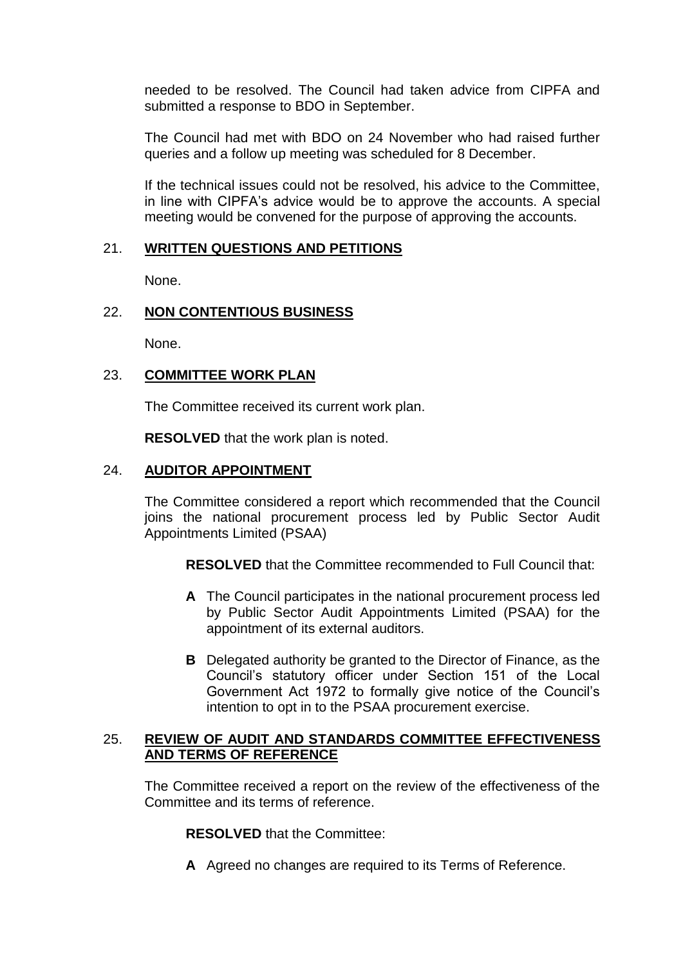needed to be resolved. The Council had taken advice from CIPFA and submitted a response to BDO in September.

The Council had met with BDO on 24 November who had raised further queries and a follow up meeting was scheduled for 8 December.

If the technical issues could not be resolved, his advice to the Committee, in line with CIPFA's advice would be to approve the accounts. A special meeting would be convened for the purpose of approving the accounts.

# 21. **WRITTEN QUESTIONS AND PETITIONS**

None.

# 22. **NON CONTENTIOUS BUSINESS**

None.

# 23. **COMMITTEE WORK PLAN**

The Committee received its current work plan.

**RESOLVED** that the work plan is noted.

### 24. **AUDITOR APPOINTMENT**

The Committee considered a report which recommended that the Council joins the national procurement process led by Public Sector Audit Appointments Limited (PSAA)

**RESOLVED** that the Committee recommended to Full Council that:

- **A** The Council participates in the national procurement process led by Public Sector Audit Appointments Limited (PSAA) for the appointment of its external auditors.
- **B** Delegated authority be granted to the Director of Finance, as the Council's statutory officer under Section 151 of the Local Government Act 1972 to formally give notice of the Council's intention to opt in to the PSAA procurement exercise.

### 25. **REVIEW OF AUDIT AND STANDARDS COMMITTEE EFFECTIVENESS AND TERMS OF REFERENCE**

The Committee received a report on the review of the effectiveness of the Committee and its terms of reference.

**RESOLVED** that the Committee:

**A** Agreed no changes are required to its Terms of Reference.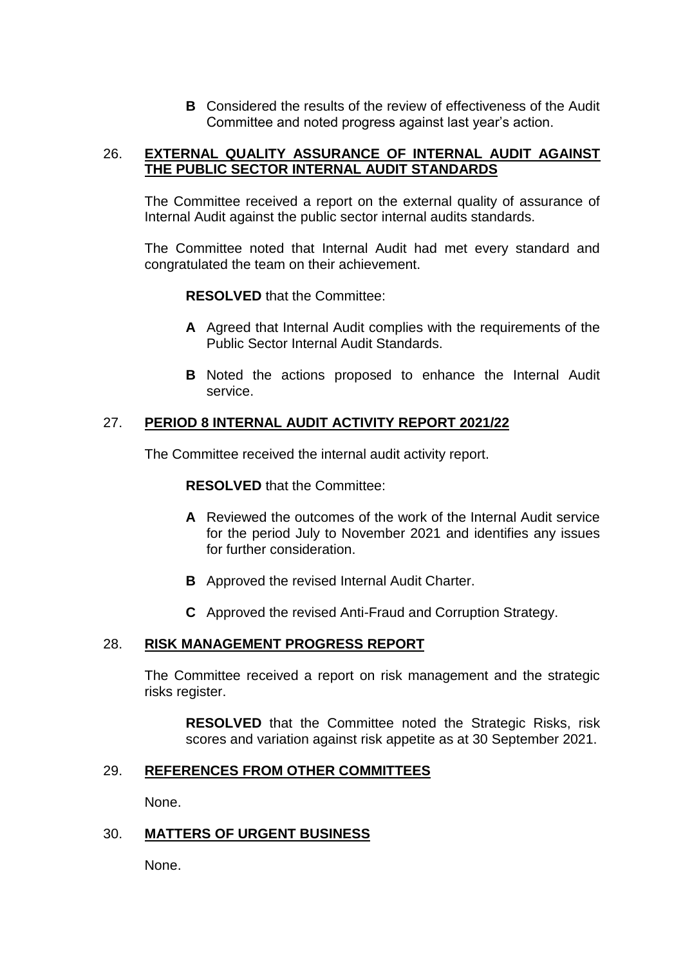**B** Considered the results of the review of effectiveness of the Audit Committee and noted progress against last year's action.

# 26. **EXTERNAL QUALITY ASSURANCE OF INTERNAL AUDIT AGAINST THE PUBLIC SECTOR INTERNAL AUDIT STANDARDS**

The Committee received a report on the external quality of assurance of Internal Audit against the public sector internal audits standards.

The Committee noted that Internal Audit had met every standard and congratulated the team on their achievement.

**RESOLVED** that the Committee:

- **A** Agreed that Internal Audit complies with the requirements of the Public Sector Internal Audit Standards.
- **B** Noted the actions proposed to enhance the Internal Audit service.

# 27. **PERIOD 8 INTERNAL AUDIT ACTIVITY REPORT 2021/22**

The Committee received the internal audit activity report.

**RESOLVED** that the Committee:

- **A** Reviewed the outcomes of the work of the Internal Audit service for the period July to November 2021 and identifies any issues for further consideration.
- **B** Approved the revised Internal Audit Charter.
- **C** Approved the revised Anti-Fraud and Corruption Strategy.

# 28. **RISK MANAGEMENT PROGRESS REPORT**

The Committee received a report on risk management and the strategic risks register.

**RESOLVED** that the Committee noted the Strategic Risks, risk scores and variation against risk appetite as at 30 September 2021.

# 29. **REFERENCES FROM OTHER COMMITTEES**

None.

# 30. **MATTERS OF URGENT BUSINESS**

None.